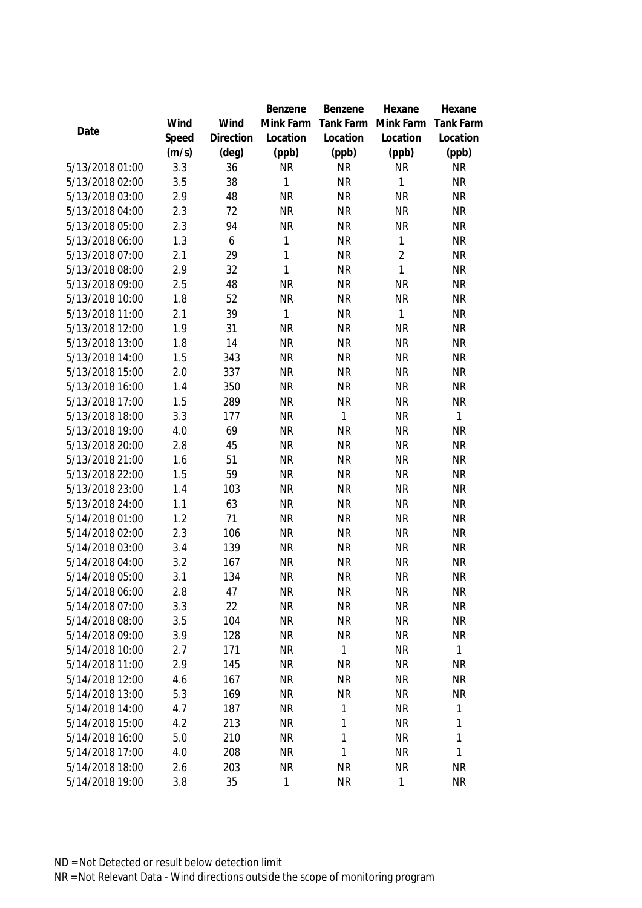|                                    |            |            | Benzene                | Benzene           | Hexane                 | Hexane                 |
|------------------------------------|------------|------------|------------------------|-------------------|------------------------|------------------------|
|                                    | Wind       | Wind       | Mink Farm              | Tank Farm         | Mink Farm              | <b>Tank Farm</b>       |
| Date                               | Speed      | Direction  | Location               | Location          | Location               | Location               |
|                                    | (m/s)      | (deg)      | (ppb)                  | (ppb)             | (ppb)                  | (ppb)                  |
| 5/13/2018 01:00                    | 3.3        | 36         | <b>NR</b>              | <b>NR</b>         | <b>NR</b>              | <b>NR</b>              |
| 5/13/2018 02:00                    | 3.5        | 38         | 1                      | <b>NR</b>         | 1                      | <b>NR</b>              |
| 5/13/2018 03:00                    | 2.9        | 48         | <b>NR</b>              | <b>NR</b>         | <b>NR</b>              | <b>NR</b>              |
| 5/13/2018 04:00                    | 2.3        | 72         | <b>NR</b>              | <b>NR</b>         | <b>NR</b>              | <b>NR</b>              |
| 5/13/2018 05:00                    | 2.3        | 94         | <b>NR</b>              | <b>NR</b>         | <b>NR</b>              | <b>NR</b>              |
| 5/13/2018 06:00                    | 1.3        | 6          | 1                      | <b>NR</b>         | $\mathbf{1}$           | <b>NR</b>              |
| 5/13/2018 07:00                    | 2.1        | 29         | 1                      | <b>NR</b>         | $\overline{2}$         | <b>NR</b>              |
| 5/13/2018 08:00                    | 2.9        | 32         | $\mathbf{1}$           | <b>NR</b>         | $\mathbf{1}$           | <b>NR</b>              |
| 5/13/2018 09:00                    | 2.5        | 48         | <b>NR</b>              | <b>NR</b>         | <b>NR</b>              | <b>NR</b>              |
| 5/13/2018 10:00                    | 1.8        | 52         | <b>NR</b>              | <b>NR</b>         | <b>NR</b>              | <b>NR</b>              |
| 5/13/2018 11:00                    | 2.1        | 39         | 1                      | <b>NR</b>         | $\mathbf{1}$           | <b>NR</b>              |
| 5/13/2018 12:00                    | 1.9        | 31         | <b>NR</b>              | <b>NR</b>         | <b>NR</b>              | <b>NR</b>              |
| 5/13/2018 13:00                    | 1.8        | 14         | <b>NR</b>              | <b>NR</b>         | <b>NR</b>              | <b>NR</b>              |
| 5/13/2018 14:00                    | 1.5        | 343        | <b>NR</b>              | <b>NR</b>         | <b>NR</b>              | <b>NR</b>              |
| 5/13/2018 15:00                    | 2.0        | 337        | <b>NR</b>              | <b>NR</b>         | <b>NR</b>              | <b>NR</b>              |
| 5/13/2018 16:00                    | 1.4        | 350        | <b>NR</b>              | <b>NR</b>         | <b>NR</b>              | <b>NR</b>              |
| 5/13/2018 17:00                    | 1.5        | 289        | <b>NR</b>              | <b>NR</b>         | <b>NR</b>              | <b>NR</b>              |
| 5/13/2018 18:00                    | 3.3        | 177        | <b>NR</b>              | $\mathbf{1}$      | <b>NR</b>              | 1                      |
| 5/13/2018 19:00                    | 4.0        | 69         | <b>NR</b>              | <b>NR</b>         | <b>NR</b>              | <b>NR</b>              |
| 5/13/2018 20:00                    | 2.8        | 45         | <b>NR</b>              | <b>NR</b>         | <b>NR</b>              | <b>NR</b>              |
| 5/13/2018 21:00                    | 1.6        | 51         | <b>NR</b>              | <b>NR</b>         | <b>NR</b>              | <b>NR</b>              |
| 5/13/2018 22:00                    | 1.5        | 59         | <b>NR</b>              | <b>NR</b>         | <b>NR</b>              | <b>NR</b>              |
| 5/13/2018 23:00                    | 1.4        | 103        | <b>NR</b>              | <b>NR</b>         | <b>NR</b>              | <b>NR</b>              |
| 5/13/2018 24:00                    | 1.1        | 63         | <b>NR</b>              | <b>NR</b>         | <b>NR</b>              | <b>NR</b>              |
| 5/14/2018 01:00                    | 1.2        | 71         | <b>NR</b>              | <b>NR</b>         | <b>NR</b>              | <b>NR</b>              |
| 5/14/2018 02:00                    | 2.3        | 106        | <b>NR</b>              | <b>NR</b>         | <b>NR</b>              | <b>NR</b>              |
| 5/14/2018 03:00                    | 3.4        | 139        | <b>NR</b>              | <b>NR</b>         | <b>NR</b>              | <b>NR</b>              |
| 5/14/2018 04:00                    | 3.2        | 167        | <b>NR</b>              | <b>NR</b>         | <b>NR</b>              | <b>NR</b>              |
| 5/14/2018 05:00                    | 3.1        | 134        | <b>NR</b>              | <b>NR</b>         | <b>NR</b>              | <b>NR</b>              |
| 5/14/2018 06:00                    | 2.8        | 47         | <b>NR</b>              | <b>NR</b>         | <b>NR</b>              | <b>NR</b>              |
| 5/14/2018 07:00                    | 3.3        | 22         | <b>NR</b>              | <b>NR</b>         | <b>NR</b>              | <b>NR</b>              |
| 5/14/2018 08:00                    | 3.5        | 104        | <b>NR</b>              | <b>NR</b>         | <b>NR</b>              | <b>NR</b>              |
| 5/14/2018 09:00                    | 3.9        | 128        | <b>NR</b>              | <b>NR</b>         | <b>NR</b>              | <b>NR</b>              |
| 5/14/2018 10:00                    | 2.7        | 171        | <b>NR</b>              | 1                 | <b>NR</b>              | 1                      |
| 5/14/2018 11:00                    | 2.9        | 145        | <b>NR</b>              | <b>NR</b>         | <b>NR</b>              | <b>NR</b>              |
| 5/14/2018 12:00                    | 4.6        | 167        | <b>NR</b>              | <b>NR</b>         | <b>NR</b>              | <b>NR</b>              |
| 5/14/2018 13:00                    | 5.3        | 169        | <b>NR</b>              | <b>NR</b>         | <b>NR</b>              | <b>NR</b>              |
| 5/14/2018 14:00                    | 4.7        | 187        | <b>NR</b>              | 1                 | <b>NR</b>              | 1                      |
| 5/14/2018 15:00                    | 4.2        | 213<br>210 | <b>NR</b>              | 1<br>$\mathbf{1}$ | <b>NR</b>              | 1                      |
| 5/14/2018 16:00<br>5/14/2018 17:00 | 5.0<br>4.0 | 208        | <b>NR</b><br><b>NR</b> | 1                 | <b>NR</b><br><b>NR</b> | 1<br>1                 |
|                                    |            |            |                        |                   |                        |                        |
| 5/14/2018 18:00<br>5/14/2018 19:00 | 2.6        | 203        | <b>NR</b>              | <b>NR</b>         | <b>NR</b>              | <b>NR</b><br><b>NR</b> |
|                                    | 3.8        | 35         | 1                      | <b>NR</b>         | $\mathbf 1$            |                        |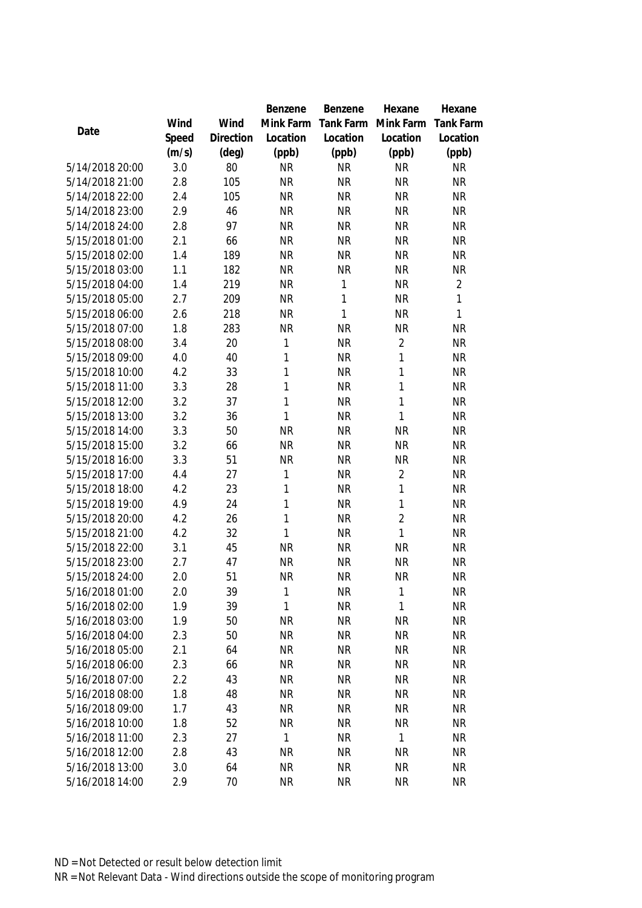|                                    |            |                | Benzene        | Benzene                | Hexane         | Hexane                 |
|------------------------------------|------------|----------------|----------------|------------------------|----------------|------------------------|
|                                    | Wind       | Wind           | Mink Farm      | Tank Farm              | Mink Farm      | <b>Tank Farm</b>       |
| Date                               | Speed      | Direction      | Location       | Location               | Location       | Location               |
|                                    | (m/s)      | $(\text{deg})$ | (ppb)          | (ppb)                  | (ppb)          | (ppb)                  |
| 5/14/2018 20:00                    | 3.0        | 80             | <b>NR</b>      | <b>NR</b>              | <b>NR</b>      | <b>NR</b>              |
| 5/14/2018 21:00                    | 2.8        | 105            | <b>NR</b>      | <b>NR</b>              | <b>NR</b>      | <b>NR</b>              |
| 5/14/2018 22:00                    | 2.4        | 105            | <b>NR</b>      | <b>NR</b>              | <b>NR</b>      | <b>NR</b>              |
| 5/14/2018 23:00                    | 2.9        | 46             | <b>NR</b>      | <b>NR</b>              | <b>NR</b>      | <b>NR</b>              |
| 5/14/2018 24:00                    | 2.8        | 97             | <b>NR</b>      | <b>NR</b>              | <b>NR</b>      | <b>NR</b>              |
| 5/15/2018 01:00                    | 2.1        | 66             | <b>NR</b>      | <b>NR</b>              | <b>NR</b>      | <b>NR</b>              |
| 5/15/2018 02:00                    | 1.4        | 189            | <b>NR</b>      | <b>NR</b>              | <b>NR</b>      | <b>NR</b>              |
| 5/15/2018 03:00                    | 1.1        | 182            | <b>NR</b>      | <b>NR</b>              | <b>NR</b>      | <b>NR</b>              |
| 5/15/2018 04:00                    | 1.4        | 219            | <b>NR</b>      | 1                      | <b>NR</b>      | $\overline{2}$         |
| 5/15/2018 05:00                    | 2.7        | 209            | <b>NR</b>      | 1                      | <b>NR</b>      | 1                      |
| 5/15/2018 06:00                    | 2.6        | 218            | <b>NR</b>      | $\mathbf{1}$           | <b>NR</b>      | 1                      |
| 5/15/2018 07:00                    | 1.8        | 283            | <b>NR</b>      | <b>NR</b>              | <b>NR</b>      | <b>NR</b>              |
| 5/15/2018 08:00                    | 3.4        | 20             | 1              | <b>NR</b>              | $\overline{2}$ | <b>NR</b>              |
| 5/15/2018 09:00                    | 4.0        | 40             | 1              | <b>NR</b>              | 1              | <b>NR</b>              |
| 5/15/2018 10:00                    | 4.2        | 33             | 1              | <b>NR</b>              | $\mathbf{1}$   | <b>NR</b>              |
| 5/15/2018 11:00                    | 3.3        | 28             | 1              | <b>NR</b>              | 1              | <b>NR</b>              |
| 5/15/2018 12:00                    | 3.2        | 37             | 1              | <b>NR</b>              | $\mathbf{1}$   | <b>NR</b>              |
| 5/15/2018 13:00                    | 3.2        | 36             | 1              | <b>NR</b>              | 1              | <b>NR</b>              |
| 5/15/2018 14:00                    | 3.3        | 50             | <b>NR</b>      | <b>NR</b>              | <b>NR</b>      | <b>NR</b>              |
| 5/15/2018 15:00                    | 3.2        | 66             | <b>NR</b>      | <b>NR</b>              | <b>NR</b>      | <b>NR</b>              |
| 5/15/2018 16:00                    | 3.3        | 51             | <b>NR</b>      | <b>NR</b>              | <b>NR</b>      | <b>NR</b>              |
| 5/15/2018 17:00                    | 4.4        | 27             | 1              | <b>NR</b>              | $\overline{2}$ | <b>NR</b>              |
| 5/15/2018 18:00                    | 4.2        | 23             | 1              | <b>NR</b>              | $\mathbf{1}$   | <b>NR</b>              |
| 5/15/2018 19:00                    | 4.9        | 24             | 1              | <b>NR</b>              | $\mathbf{1}$   | <b>NR</b>              |
| 5/15/2018 20:00                    | 4.2        | 26             | 1              | <b>NR</b>              | $\overline{2}$ | <b>NR</b>              |
| 5/15/2018 21:00                    | 4.2        | 32             | 1              | <b>NR</b>              | $\mathbf{1}$   | <b>NR</b>              |
| 5/15/2018 22:00                    | 3.1        | 45             | <b>NR</b>      | <b>NR</b>              | <b>NR</b>      | <b>NR</b>              |
| 5/15/2018 23:00                    | 2.7        | 47             | <b>NR</b>      | <b>NR</b>              | <b>NR</b>      | <b>NR</b>              |
| 5/15/2018 24:00                    | 2.0        | 51             | <b>NR</b>      | <b>NR</b>              | <b>NR</b>      | <b>NR</b>              |
| 5/16/2018 01:00                    | 2.0        | 39             | 1              | <b>NR</b>              | $\mathbf{1}$   | <b>NR</b>              |
| 5/16/2018 02:00                    | 1.9        | 39             | 1              | <b>NR</b>              | 1              | <b>NR</b>              |
| 5/16/2018 03:00                    | 1.9        | 50             | <b>NR</b>      | <b>NR</b>              | <b>NR</b>      | <b>NR</b>              |
| 5/16/2018 04:00                    | 2.3        | 50             | <b>NR</b>      | <b>NR</b>              | <b>NR</b>      | <b>NR</b>              |
| 5/16/2018 05:00                    | 2.1        | 64             | <b>NR</b>      | <b>NR</b>              | <b>NR</b>      | <b>NR</b>              |
| 5/16/2018 06:00                    | 2.3        | 66             | <b>NR</b>      | <b>NR</b>              | <b>NR</b>      | <b>NR</b>              |
| 5/16/2018 07:00                    | 2.2        | 43             | <b>NR</b>      | <b>NR</b>              | <b>NR</b>      | <b>NR</b>              |
| 5/16/2018 08:00<br>5/16/2018 09:00 | 1.8        | 48             | <b>NR</b>      | <b>NR</b><br><b>NR</b> | <b>NR</b>      | <b>NR</b>              |
| 5/16/2018 10:00                    | 1.7        | 43             | <b>NR</b>      |                        | <b>NR</b>      | <b>NR</b>              |
| 5/16/2018 11:00                    | 1.8<br>2.3 | 52<br>27       | <b>NR</b><br>1 | <b>NR</b><br><b>NR</b> | <b>NR</b><br>1 | <b>NR</b><br><b>NR</b> |
| 5/16/2018 12:00                    | 2.8        | 43             | NR             | <b>NR</b>              | <b>NR</b>      | <b>NR</b>              |
| 5/16/2018 13:00                    | 3.0        |                | <b>NR</b>      | <b>NR</b>              | <b>NR</b>      | <b>NR</b>              |
| 5/16/2018 14:00                    |            | 64<br>70       | <b>NR</b>      | <b>NR</b>              | <b>NR</b>      | <b>NR</b>              |
|                                    | 2.9        |                |                |                        |                |                        |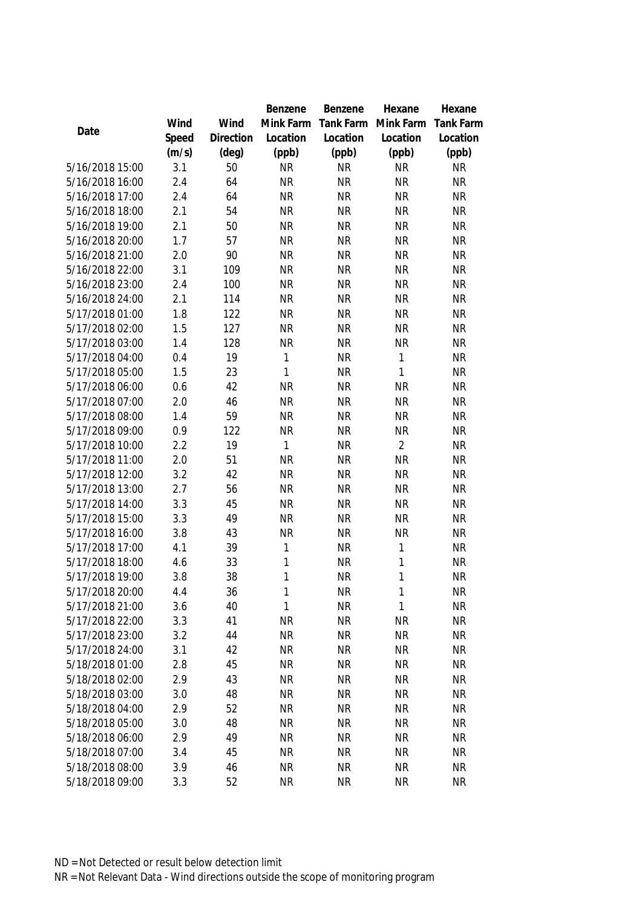|                                    |            |                | Benzene                | Benzene                | Hexane                 | Hexane                 |
|------------------------------------|------------|----------------|------------------------|------------------------|------------------------|------------------------|
|                                    | Wind       | Wind           | Mink Farm              | Tank Farm              | Mink Farm              | <b>Tank Farm</b>       |
| Date                               | Speed      | Direction      | Location               | Location               | Location               | Location               |
|                                    | (m/s)      | $(\text{deg})$ | (ppb)                  | (ppb)                  | (ppb)                  | (ppb)                  |
| 5/16/2018 15:00                    | 3.1        | 50             | <b>NR</b>              | <b>NR</b>              | <b>NR</b>              | <b>NR</b>              |
| 5/16/2018 16:00                    | 2.4        | 64             | <b>NR</b>              | <b>NR</b>              | <b>NR</b>              | <b>NR</b>              |
| 5/16/2018 17:00                    | 2.4        | 64             | <b>NR</b>              | <b>NR</b>              | <b>NR</b>              | <b>NR</b>              |
| 5/16/2018 18:00                    | 2.1        | 54             | <b>NR</b>              | <b>NR</b>              | <b>NR</b>              | <b>NR</b>              |
| 5/16/2018 19:00                    | 2.1        | 50             | <b>NR</b>              | <b>NR</b>              | <b>NR</b>              | <b>NR</b>              |
| 5/16/2018 20:00                    | 1.7        | 57             | <b>NR</b>              | <b>NR</b>              | <b>NR</b>              | <b>NR</b>              |
| 5/16/2018 21:00                    | 2.0        | 90             | <b>NR</b>              | <b>NR</b>              | <b>NR</b>              | <b>NR</b>              |
| 5/16/2018 22:00                    | 3.1        | 109            | <b>NR</b>              | <b>NR</b>              | <b>NR</b>              | <b>NR</b>              |
| 5/16/2018 23:00                    | 2.4        | 100            | <b>NR</b>              | <b>NR</b>              | <b>NR</b>              | <b>NR</b>              |
| 5/16/2018 24:00                    | 2.1        | 114            | <b>NR</b>              | <b>NR</b>              | <b>NR</b>              | <b>NR</b>              |
| 5/17/2018 01:00                    | 1.8        | 122            | <b>NR</b>              | <b>NR</b>              | <b>NR</b>              | <b>NR</b>              |
| 5/17/2018 02:00                    | 1.5        | 127            | <b>NR</b>              | <b>NR</b>              | <b>NR</b>              | <b>NR</b>              |
| 5/17/2018 03:00                    | 1.4        | 128            | <b>NR</b>              | <b>NR</b>              | <b>NR</b>              | <b>NR</b>              |
| 5/17/2018 04:00                    | 0.4        | 19             | 1                      | <b>NR</b>              | $\mathbf{1}$           | <b>NR</b>              |
| 5/17/2018 05:00                    | 1.5        | 23             | 1                      | <b>NR</b>              | $\mathbf{1}$           | <b>NR</b>              |
| 5/17/2018 06:00                    | 0.6        | 42             | <b>NR</b>              | <b>NR</b>              | <b>NR</b>              | <b>NR</b>              |
| 5/17/2018 07:00                    | 2.0        | 46             | <b>NR</b>              | <b>NR</b>              | <b>NR</b>              | <b>NR</b>              |
| 5/17/2018 08:00                    | 1.4        | 59             | <b>NR</b>              | <b>NR</b>              | <b>NR</b>              | <b>NR</b>              |
| 5/17/2018 09:00                    | 0.9        | 122            | <b>NR</b>              | <b>NR</b>              | <b>NR</b>              | <b>NR</b>              |
| 5/17/2018 10:00                    | 2.2        | 19             | 1                      | <b>NR</b>              | $\overline{2}$         | <b>NR</b>              |
| 5/17/2018 11:00                    | 2.0        | 51             | <b>NR</b>              | <b>NR</b>              | <b>NR</b>              | <b>NR</b>              |
| 5/17/2018 12:00                    | 3.2        | 42             | <b>NR</b>              | <b>NR</b>              | <b>NR</b>              | <b>NR</b>              |
| 5/17/2018 13:00                    | 2.7        | 56             | <b>NR</b>              | <b>NR</b>              | <b>NR</b>              | <b>NR</b>              |
| 5/17/2018 14:00                    | 3.3        | 45             | <b>NR</b>              | <b>NR</b>              | <b>NR</b>              | <b>NR</b>              |
| 5/17/2018 15:00                    | 3.3        | 49             | <b>NR</b>              | <b>NR</b>              | <b>NR</b>              | <b>NR</b>              |
| 5/17/2018 16:00                    | 3.8        | 43             | <b>NR</b>              | <b>NR</b>              | <b>NR</b>              | <b>NR</b>              |
| 5/17/2018 17:00                    | 4.1        | 39             | 1                      | <b>NR</b>              | 1                      | <b>NR</b>              |
| 5/17/2018 18:00                    | 4.6        | 33             | 1                      | <b>NR</b>              | $\mathbf{1}$           | <b>NR</b>              |
| 5/17/2018 19:00                    | 3.8        | 38             | 1                      | <b>NR</b>              | $\mathbf{1}$           | <b>NR</b>              |
| 5/17/2018 20:00                    | 4.4        | 36             | 1                      | <b>NR</b>              | 1                      | <b>NR</b>              |
| 5/17/2018 21:00                    | 3.6        | 40             | 1                      | <b>NR</b>              | $\mathbf{1}$           | <b>NR</b>              |
| 5/17/2018 22:00                    | 3.3        | 41             | <b>NR</b>              | <b>NR</b>              | <b>NR</b>              | <b>NR</b>              |
| 5/17/2018 23:00                    | 3.2        | 44             | <b>NR</b>              | <b>NR</b>              | <b>NR</b>              | <b>NR</b>              |
| 5/17/2018 24:00                    | 3.1        | 42             | <b>NR</b>              | <b>NR</b>              | <b>NR</b>              | <b>NR</b>              |
| 5/18/2018 01:00                    | 2.8        | 45             | <b>NR</b>              | <b>NR</b>              | <b>NR</b>              | <b>NR</b>              |
| 5/18/2018 02:00                    | 2.9        | 43             | <b>NR</b>              | <b>NR</b>              | <b>NR</b>              | <b>NR</b>              |
| 5/18/2018 03:00                    | 3.0        | 48             | <b>NR</b>              | <b>NR</b>              | <b>NR</b>              | <b>NR</b>              |
| 5/18/2018 04:00                    | 2.9        | 52             | <b>NR</b>              | <b>NR</b>              | <b>NR</b>              | <b>NR</b>              |
| 5/18/2018 05:00<br>5/18/2018 06:00 | 3.0<br>2.9 | 48<br>49       | <b>NR</b><br><b>NR</b> | <b>NR</b><br><b>NR</b> | <b>NR</b><br><b>NR</b> | <b>NR</b><br><b>NR</b> |
| 5/18/2018 07:00                    | 3.4        | 45             | <b>NR</b>              | <b>NR</b>              | <b>NR</b>              | <b>NR</b>              |
| 5/18/2018 08:00                    |            |                |                        | <b>NR</b>              |                        | <b>NR</b>              |
|                                    | 3.9        | 46             | <b>NR</b>              |                        | <b>NR</b>              | <b>NR</b>              |
| 5/18/2018 09:00                    | 3.3        | 52             | <b>NR</b>              | <b>NR</b>              | <b>NR</b>              |                        |